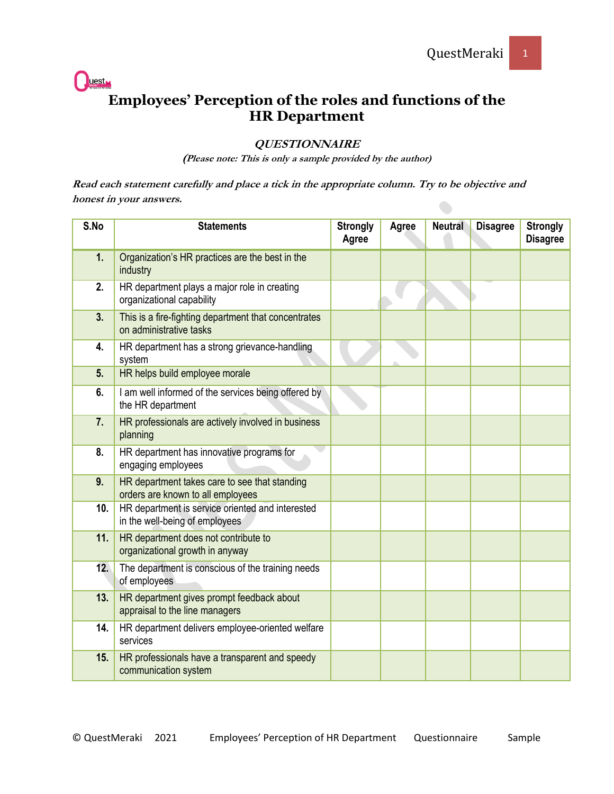

## **Employees' Perception of the roles and functions of the HR Department**

## **QUESTIONNAIRE**

**(Please note: This is only a sample provided by the author)**

**Read each statement carefully and place a tick in the appropriate column. Try to be objective and honest in your answers.** 

| S.No | <b>Statements</b>                                                                  | <b>Strongly</b><br>Agree | Agree | <b>Neutral</b> | <b>Disagree</b> | <b>Strongly</b><br><b>Disagree</b> |
|------|------------------------------------------------------------------------------------|--------------------------|-------|----------------|-----------------|------------------------------------|
| 1.   | Organization's HR practices are the best in the<br>industry                        |                          |       |                |                 |                                    |
| 2.   | HR department plays a major role in creating<br>organizational capability          |                          |       |                |                 |                                    |
| 3.   | This is a fire-fighting department that concentrates<br>on administrative tasks    |                          |       |                |                 |                                    |
| 4.   | HR department has a strong grievance-handling<br>system                            |                          |       |                |                 |                                    |
| 5.   | HR helps build employee morale                                                     |                          |       |                |                 |                                    |
| 6.   | I am well informed of the services being offered by<br>the HR department           |                          |       |                |                 |                                    |
| 7.   | HR professionals are actively involved in business<br>planning                     |                          |       |                |                 |                                    |
| 8.   | HR department has innovative programs for<br>engaging employees                    |                          |       |                |                 |                                    |
| 9.   | HR department takes care to see that standing<br>orders are known to all employees |                          |       |                |                 |                                    |
| 10.  | HR department is service oriented and interested<br>in the well-being of employees |                          |       |                |                 |                                    |
| 11.  | HR department does not contribute to<br>organizational growth in anyway            |                          |       |                |                 |                                    |
| 12.  | The department is conscious of the training needs<br>of employees                  |                          |       |                |                 |                                    |
| 13.  | HR department gives prompt feedback about<br>appraisal to the line managers        |                          |       |                |                 |                                    |
| 14.  | HR department delivers employee-oriented welfare<br>services                       |                          |       |                |                 |                                    |
| 15.  | HR professionals have a transparent and speedy<br>communication system             |                          |       |                |                 |                                    |